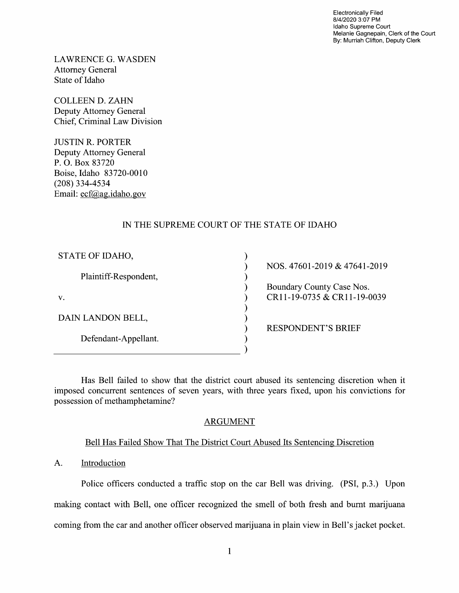Electronically Filed 8/4/2020 3:07 PM Idaho Supreme Court Melanie Gagnepain, Clerk of the Court By: Murriah Clifton, Deputy Clerk

LAWRENCE G.WASDEN Attorney General State 0f Idaho

COLLEEN D. ZAHN Deputy Attorney General Chief, Criminal Law Division

JUSTIN R. PORTER Deputy Attorney General P. O. Box 83720 Boise, Idaho 83720-0010 (208) 334-4534 Email: ecf@ag.idaho.gov

# IN THE SUPREME COURT OF THE STATE OF IDAHO

| STATE OF IDAHO,       |                              |
|-----------------------|------------------------------|
|                       | NOS. 47601-2019 & 47641-2019 |
| Plaintiff-Respondent, |                              |
|                       | Boundary County Case Nos.    |
| v.                    | CR11-19-0735 & CR11-19-0039  |
|                       |                              |
| DAIN LANDON BELL,     |                              |
|                       | <b>RESPONDENT'S BRIEF</b>    |
| Defendant-Appellant.  |                              |
|                       |                              |

Has Bell failed to show that the district court abused its sentencing discretion when it imposed concurrent sentences of seven years, with three years fixed, upon his convictions for possession of methamphetamine?

# ARGUMENT

### Bell Has Failed Show That The District Court Abused Its Sentencing Discretion

### A. Introduction

Police officers conducted a traffic stop on the car Bell was driving. (PSI, p.3.) Upon making contact with Bell, one officer recognized the smell of both fresh and burnt marijuana coming from the car and another officer observed marijuana in plain view in Bell's jacket pocket.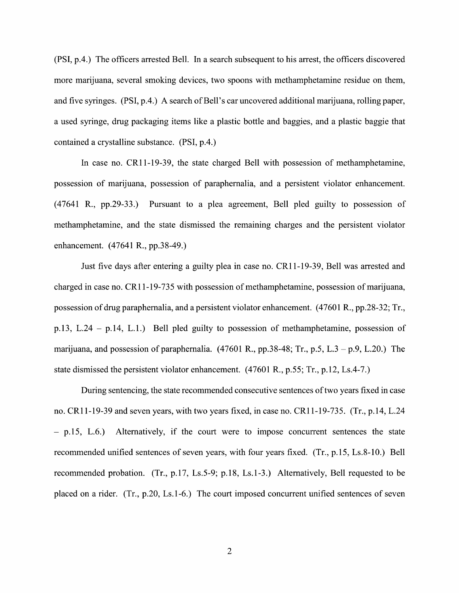(PSI, p.4.) The officers arrested Bell. In search subsequent to his arrest, the officers discovered more marijuana, several smoking devices, two spoons With methamphetamine residue on them, and five syringes.  $(PSI, p.4)$ . A search of Bell's car uncovered additional marijuana, rolling paper, a used syringe, drug packaging items like a plastic bottle and baggies, and a plastic baggie that contained a crystalline substance. (PSI, p.4.)

In case no. CR11-19-39, the state charged Bell With possession of methamphetamine, possession of marijuana, possession of paraphernalia, and a persistent violator enhancement.  $(47641 \text{ R}., \text{pp}.29-33.)$  Pursuant to a plea agreement, Bell pled guilty to possession of methamphetamine, and the state dismissed the remaining charges and the persistent violator enhancement. (47641 R., pp.38-49.)

Just five days after entering a guilty plea in case no. CR11-19-39, Bell was arrested and charged in case no. CR11-19-735 with possession of methamphetamine, possession of marijuana, possession of drug paraphernalia, and a persistent violator enhancement. (47601 R., pp.28-32; Tr., p.13, L.24 – p.14, L.1.) Bell pled guilty to possession of methamphetamine, possession of marijuana, and possession of paraphernalia.  $(47601 \text{ R}., \text{pp.38-48}; \text{Tr}, \text{p.5}, L.3 - \text{p.9}, L.20.)$  The state dismissed the persistent Violator enhancement. (47601 R., p.55; Tr., p.12, Ls.4-7.)

During sentencing, the state recommended consecutive sentences oftwo years fixed in case no. CR11-19-39 and seven years, with two years fixed, in case no. CR11-19-735. (Tr., p.14, L.24) p.15, L.6.) Alternatively, if the court were to impose concurrent sentences the state recommended unified sentences of seven years, with four years fixed. (Tr., p.15, Ls.8-10.) Bell recommended probation. (Tr., p.17, Ls.5-9; p.18, Ls.1-3.) Alternatively, Bell requested to be placed on a rider. (Tr., p.20, Ls.1-6.) The court imposed concurrent unified sentences of seven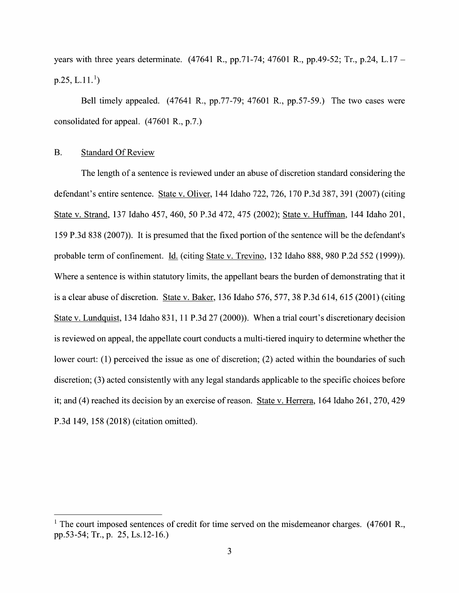years with three years determinate. (47641 R., pp.71-74; 47601 R., pp.49-52; Tr., p.24, L.17 –  $p.25, L.11<sup>1</sup>$ 

Bell timely appealed. (47641 R., pp.77-79; 47601 R., pp.57-59.) The two cases were consolidated for appeal. (47601 R., p.7.)

#### B. Standard Of Review

The length of a sentence is reviewed under an abuse of discretion standard considering the defendant's entire sentence. State V. Oliver, 144 Idaho 722, 726, 170 P.3d 387, 391 (2007) (citing State V. Strand, <sup>137</sup> Idaho 457, 460, <sup>50</sup> P.3d 472, <sup>475</sup> (2002); State V. Huffman, <sup>144</sup> Idaho 201, 159 P.3d 838 (2007)). It is presumed that the fixed portion of the sentence Will be the defendant's probable term of confinement. Id. (citing State v. Trevino, 132 Idaho 888, 980 P.2d 552 (1999)). Where a sentence is within statutory limits, the appellant bears the burden of demonstrating that it is a clear abuse of discretion. State v. Baker,  $136$  Idaho  $576$ ,  $577$ ,  $38$  P.3d  $614$ ,  $615$  ( $2001$ ) (citing State v. Lundquist, 134 Idaho 831, 11 P.3d 27 (2000)). When a trial court's discretionary decision is reviewed on appeal, the appellate court conducts a multi-tiered inquiry to determine whether the lower court: (1) perceived the issue as one of discretion; (2) acted within the boundaries of such discretion; (3) acted consistently With any legal standards applicable to the specific choices before it; and (4) reached its decision by an exercise of reason. State V. Herrera, 164 Idaho 261, 270, 429 P.3d 149, 158 (2018) (citation omitted).

<sup>&</sup>lt;sup>1</sup> The court imposed sentences of credit for time served on the misdemeanor charges.  $(47601 R.,$ pp.53-54; Tr., p. 25, Ls.12-16.)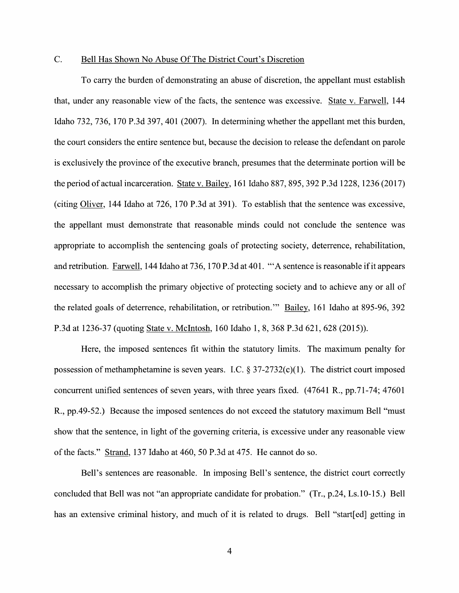### C. Bell Has Shown No Abuse Of The District Court's Discretion

To carry the burden of demonstrating an abuse of discretion, the appellant must establish that, under any reasonable view of the facts, the sentence was excessive. State v. Farwell, 144 Idaho 732, 736, 170 P.3d 397, 401 (2007). In determining whether the appellant met this burden, the court considers the entire sentence but, because the decision t0 release the defendant on parole is exclusively the province of the executive branch, presumes that the determinate portion will be is exclusively the province of the executive branch, presumes that the determinate portion will be<br>the period of actual incarceration. State v. Bailey, 161 Idaho 887, 895, 392 P.3d 1228, 1236 (2017) the period of actual incarceration. State v. Bailey, 161 Idaho 887, 895, 392 P.3d 1228, 1236 (2017)<br>(citing Oliver, 144 Idaho at 726, 170 P.3d at 391). To establish that the sentence was excessive, the appellant must demonstrate that reasonable minds could not conclude the sentence was appropriate to accomplish the sentencing goals of protecting society, deterrence, rehabilitation, and retribution. Farwell, 144 Idaho at 736, 170 P.3d at 401. "'A sentence is reasonable if it appears necessary to accomplish the primary objective of protecting society and to achieve any or all of the related goals of deterrence, rehabilitation, or retribution." Bailey, 161 Idaho at 895-96, 392 P.3d at 1236-37 (quoting State v. McIntosh, 160 Idaho 1, 8, 368 P.3d 621, 628 (2015)).

Here, the imposed sentences fit Within the statutory limits. The maximum penalty for possession of methamphetamine is seven years. I.C.  $\S 37-2732(c)(1)$ . The district court imposed concurrent unified sentences of seven years, With three years fixed. (47641 R., pp.71-74; 47601 R., pp.49-52.) Because the imposed sentences do not exceed the statutory maximum Bell "must" show that the sentence, in light of the governing criteria, is excessive under any reasonable view of the facts." Strand, 137 Idaho at 460, 50 P.3d at 475. He cannot do so.

Bell's sentences are reasonable. In imposing Bell's sentence, the district court correctly concluded that Bell was not "an appropriate candidate for probation." (Tr., p.24, Ls.10-15.) Bell has an extensive criminal history, and much of it is related to drugs. Bell "start[ed] getting in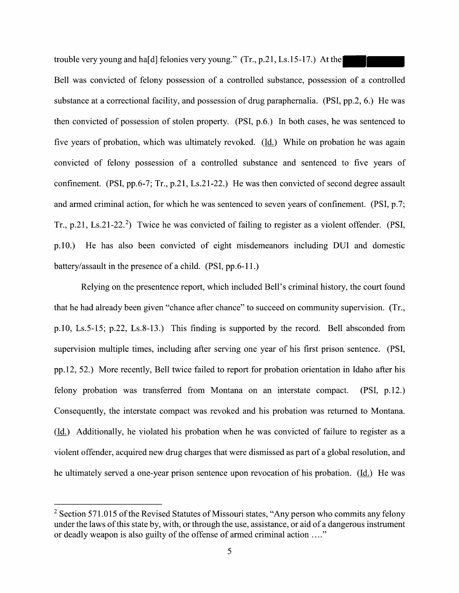trouble very young and ha[d] felonies very young." (Tr., p.21, Ls.15-17.) At the

Bell was convicted of felony possession of a controlled substance, possession of a controlled substance at a correctional facility, and possession of drug paraphernalia. (PSI, pp.2, 6.) He was then convicted 0f possession of stolen property. (PSI, p.6.) In both cases, he was sentenced to five years of probation, which was ultimately revoked. (Id.) While on probation he was again convicted of felony possession of a controlled substance and sentenced to five years of confinement. (PSI, pp.6-7; Tr., p.21, Ls.21-22.) He was then convicted 0f second degree assault and armed criminal action, for Which he was sentenced to seven years of confinement. (PSI, p.7; Tr., p.21, Ls.21-22.<sup>2</sup>) Twice he was convicted of failing to register as a violent offender. (PSI, p.10.) He has also been convicted of eight misdemeanors including DUI and domestic battery/assault in the presence of a child. (PSI, pp.6-11.)

Relying 0n the presentence report, Which included Bell's criminal history, the court found that he had already been given "chance after chance" to succeed 0n community supervision. (Tr., p.10, Ls.5-15; p.22, Ls.8—13.) This finding is supported by the record. Bell absconded from supervision multiple times, including after serving one year of his first prison sentence. (PSI, pp.12, 52.) More recently, Bell twice failed to report for probation orientation in Idaho after his felony probation was transferred from Montana on an interstate compact. (PSI, p.12.) Consequently, the interstate compact was revoked and his probation was returned to Montana.  $(\underline{Id})$  Additionally, he violated his probation when he was convicted of failure to register as a violent offender, acquired new drug charges that were dismissed as part of a global resolution, and he ultimately served a one-year prison sentence upon revocation of his probation. (Id.) He was

<sup>&</sup>lt;sup>2</sup> Section 571.015 of the Revised Statutes of Missouri states, "Any person who commits any felony under the laws of this state by, with, or through the use, assistance, or aid of a dangerous instrument or deadly weapon is also guilty of the offense of armed criminal action ...."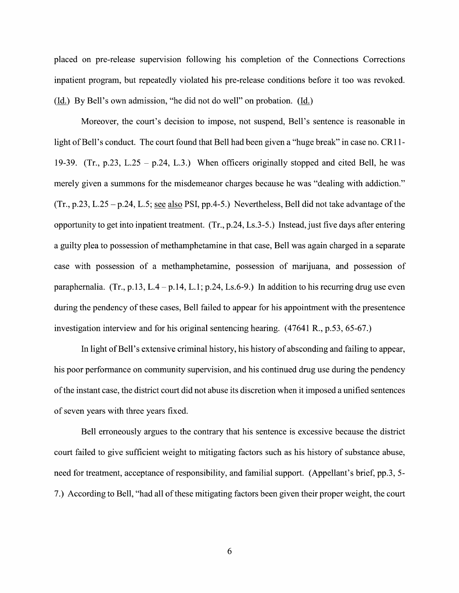placed on pre-release supervision following his completion 0f the Connections Corrections inpatient program, but repeatedly violated his pre-release conditions before it too was revoked. (Id.) By Bell's own admission, "he did not do well" on probation. (Id.)

Moreover, the court's decision to impose, not suspend, Bell's sentence is reasonable in light of Bell's conduct. The court found that Bell had been given a "huge break" in case no. CR11-19-39. (Tr., p.23, L.25 – p.24, L.3.) When officers originally stopped and cited Bell, he was merely given a summons for the misdemeanor charges because he was "dealing with addiction."  $(Tr., p.23, L.25 - p.24, L.5; see also PSI, pp.4-5.)$  Nevertheless, Bell did not take advantage of the opportunity to get into inpatient treatment. (Tr., p.24, Ls.3-5.) Instead, just five days after entering a guilty plea to possession of methamphetamine in that case, Bell was again charged in a separate case with possession of a methamphetamine, possession of marijuana, and possession of paraphernalia. (Tr., p.13, L.4 – p.14, L.1; p.24, Ls.6-9.) In addition to his recurring drug use even during the pendency of these cases, Bell failed to appear for his appointment with the presentence investigation interview and for his original sentencing hearing. (47641 R., p.53, 65-67.)

In light of Bell's extensive criminal history, his history of absconding and failing to appear, his poor performance on community supervision, and his continued drug use during the pendency 0fthe instant case, the district court did not abuse its discretion When it imposed unified sentences of seven years With three years fixed.

Bell erroneously argues to the contrary that his sentence is excessive because the district court failed to give sufficient weight to mitigating factors such as his history of substance abuse, need for treatment, acceptance of responsibility, and familial support. (Appellant's brief, pp.3, 5- 7.) According to Bell, "had all of these mitigating factors been given their proper weight, the court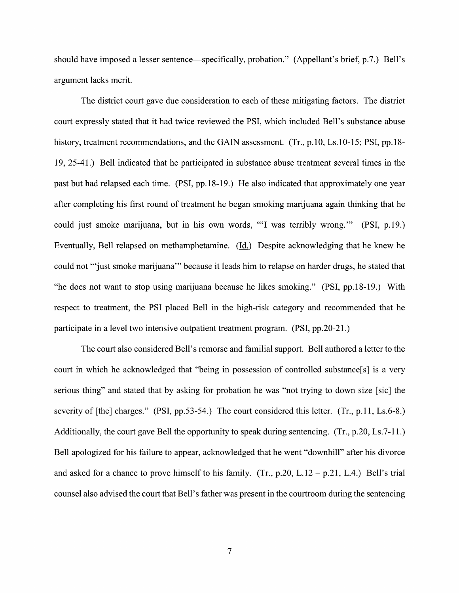should have imposed a lesser sentence—specifically, probation." (Appellant's brief, p.7.) Bell's argument lacks merit.

The district court gave due consideration t0 each of these mitigating factors. The district court expressly stated that it had twice reviewed the PSI, which included Bell's substance abuse history, treatment recommendations, and the GAIN assessment.  $(Tr, p.10, Ls.10-15; PSI, pp.18-15)$ 19, 25-41.) Bell indicated that he participated in substance abuse treatment several times in the past but had relapsed each time. (PSI, pp.18-19.) He also indicated that approximately one year after completing his first round of treatment he began smoking marijuana again thinking that he could just smoke marijuana, but in his own words, "'1 was terribly wrong." (PSI, p.19.) Eventually, Bell relapsed on methamphetamine. (Li) Despite acknowledging that he knew he could not "just smoke marijuana" because it leads him to relapse on harder drugs, he stated that "he does not want t0 stop using marijuana because he likes smoking." (PSI, pp.18—19.) With respect to treatment, the PSI placed Bell in the high-risk category and recommended that he participate in a level two intensive outpatient treatment program. (PSI, pp.20-21.)

The court also considered Bell's remorse and familial support. Bell authored a letter to the court in which he acknowledged that "being in possession of controlled substance[s] is a very serious thing" and stated that by asking for probation he was "not trying to down size [sic] the severity of  $[the]$  charges." (PSI, pp.53-54.) The court considered this letter. (Tr., p.11, Ls.6-8.) Additionally, the court gave Bell the opportunity to speak during sentencing.  $(Tr, p.20, Ls.7-11.)$ Bell apologized for his failure to appear, acknowledged that he went "downhill" after his divorce and asked for a chance to prove himself to his family. (Tr., p.20, L.12 – p.21, L.4.) Bell's trial counsel also advised the court that Bell's father was present in the courtroom during the sentencing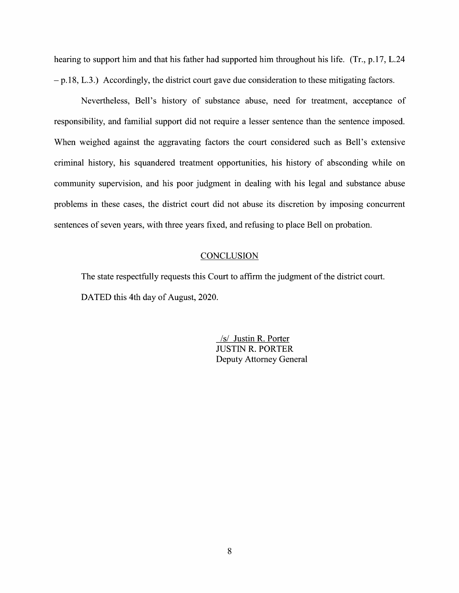hearing to support him and that his father had supported him throughout his life. (Tr., p.17, L.24)  $-p.18$ , L.3.) Accordingly, the district court gave due consideration to these mitigating factors.

Nevertheless, Bell's history 0f substance abuse, need for treatment, acceptance 0f responsibility, and familial support did not require a lesser sentence than the sentence imposed. When weighed against the aggravating factors the court considered such as Bell's extensive criminal history, his squandered treatment opportunities, his history 0f absconding While 0n community supervision, and his poor judgment in dealing with his legal and substance abuse problems in these cases, the district court did not abuse its discretion by imposing concurrent sentences 0f seven years, With three years fixed, and refusing to place Bell 0n probation.

### **CONCLUSION**

The state respectfully requests this Court to affirm the judgment of the district court. DATED this 4th day of August, 2020.

> /s/ Justin R. Porter JUSTIN R. PORTER Deputy Attorney General